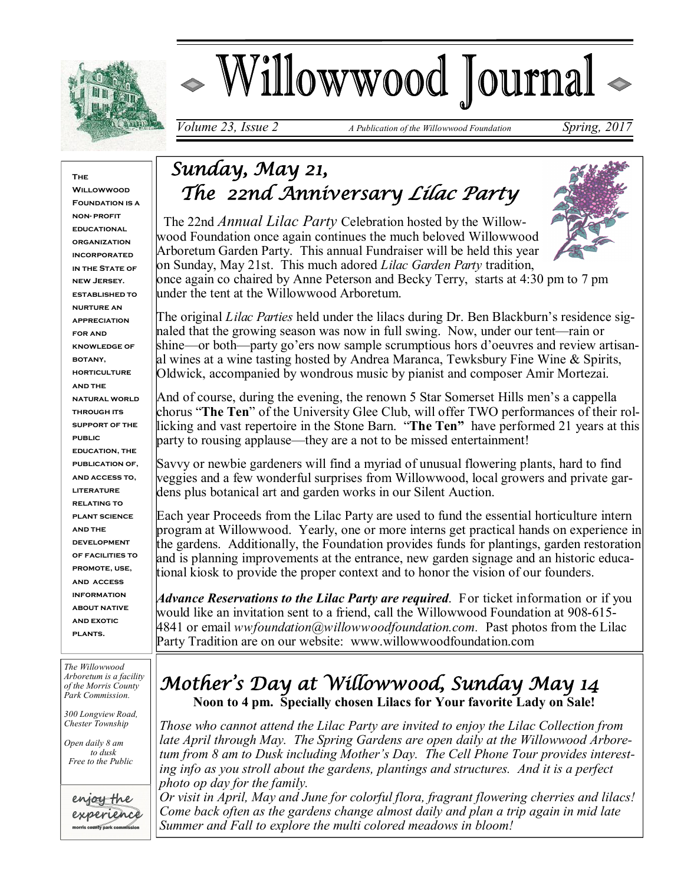

# Willowwood Journal

*Volume 23, Issue 2 A Publication of the Willowwood Foundation Spring, 2017* 

#### **The**

**Willowwoon FOUNDATION IS A non- profit educational organization incorporated IN THE STATE OF new Jersey. established to nurture an appreciation for and knowledge of botany, horticulture and the natural world through its support of the public education, the publication of, and access to, literature relating to plant science and the development of facilities to promote, use, and access information about native and exotic plants.**

*The Willowwood Arboretum is a facility of the Morris County Park Commission.*

*300 Longview Road, Chester Township*

*Open daily 8 am to dusk Free to the Public*



# *Sunday, May 21, The 22nd Anniversary Lilac Party*

 The 22nd *Annual Lilac Party* Celebration hosted by the Willowwood Foundation once again continues the much beloved Willowwood Arboretum Garden Party. This annual Fundraiser will be held this year on Sunday, May 21st. This much adored *Lilac Garden Party* tradition,



once again co chaired by Anne Peterson and Becky Terry, starts at 4:30 pm to 7 pm under the tent at the Willowwood Arboretum.

The original *Lilac Parties* held under the lilacs during Dr. Ben Blackburn's residence signaled that the growing season was now in full swing. Now, under our tent—rain or shine—or both—party go'ers now sample scrumptious hors d'oeuvres and review artisanal wines at a wine tasting hosted by Andrea Maranca, Tewksbury Fine Wine & Spirits, Oldwick, accompanied by wondrous music by pianist and composer Amir Mortezai.

And of course, during the evening, the renown 5 Star Somerset Hills men's a cappella chorus "**The Ten**" of the University Glee Club, will offer TWO performances of their rollicking and vast repertoire in the Stone Barn. "**The Ten"** have performed 21 years at this party to rousing applause—they are a not to be missed entertainment!

Savvy or newbie gardeners will find a myriad of unusual flowering plants, hard to find veggies and a few wonderful surprises from Willowwood, local growers and private gardens plus botanical art and garden works in our Silent Auction.

Each year Proceeds from the Lilac Party are used to fund the essential horticulture intern program at Willowwood. Yearly, one or more interns get practical hands on experience in the gardens. Additionally, the Foundation provides funds for plantings, garden restoration and is planning improvements at the entrance, new garden signage and an historic educational kiosk to provide the proper context and to honor the vision of our founders.

*Advance Reservations to the Lilac Party are required*. For ticket information or if you would like an invitation sent to a friend, call the Willowwood Foundation at 908-615- 4841 or email *wwfoundation@willowwoodfoundation.com.* Past photos from the Lilac Party Tradition are on our website: www.willowwoodfoundation.com

## *Mother's Day at Willowwood, Sunday May 14*   **Noon to 4 pm. Specially chosen Lilacs for Your favorite Lady on Sale!**

*Those who cannot attend the Lilac Party are invited to enjoy the Lilac Collection from late April through May. The Spring Gardens are open daily at the Willowwood Arboretum from 8 am to Dusk including Mother's Day. The Cell Phone Tour provides interesting info as you stroll about the gardens, plantings and structures. And it is a perfect photo op day for the family.* 

*Or visit in April, May and June for colorful flora, fragrant flowering cherries and lilacs! Come back often as the gardens change almost daily and plan a trip again in mid late Summer and Fall to explore the multi colored meadows in bloom!*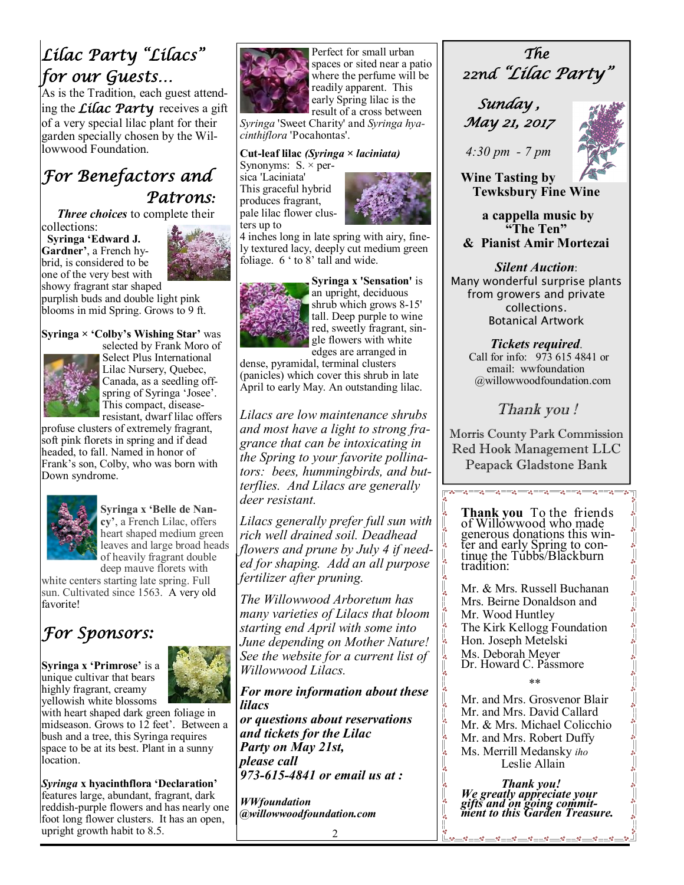# *Lilac Party "Lilacs" for our Guests…*

As is the Tradition, each guest attending the *Lilac Party* receives a gift of a very special lilac plant for their garden specially chosen by the Willowwood Foundation.

## *For Benefactors and Patrons:*

 *Three choices* to complete their

collections: **Syringa 'Edward J. Gardner'**, a French hybrid, is considered to be one of the very best with



showy fragrant star shaped purplish buds and double light pink blooms in mid Spring. Grows to 9 ft.

#### **Syringa × 'Colby's Wishing Star'** was



selected by Frank Moro of Select Plus International Lilac Nursery, Quebec, Canada, as a seedling offspring of Syringa 'Josee'. This compact, diseaseresistant, dwarf lilac offers

profuse clusters of extremely fragrant, soft pink florets in spring and if dead headed, to fall. Named in honor of Frank's son, Colby, who was born with Down syndrome.



**Syringa x 'Belle de Nancy'**, a French Lilac, offers heart shaped medium green leaves and large broad heads of heavily fragrant double deep mauve florets with

white centers starting late spring. Full sun. Cultivated since 1563. A very old favorite!

## *For Sponsors:*

**Syringa x 'Primrose'** is a unique cultivar that bears highly fragrant, creamy yellowish white blossoms

with heart shaped dark green foliage in midseason. Grows to 12 feet'. Between a bush and a tree, this Syringa requires space to be at its best. Plant in a sunny location.

*Syringa* **x hyacinthflora 'Declaration'**  features large, abundant, fragrant, dark reddish-purple flowers and has nearly one foot long flower clusters. It has an open, upright growth habit to 8.5.



Perfect for small urban spaces or sited near a patio where the perfume will be readily apparent. This early Spring lilac is the result of a cross between

*Syringa* 'Sweet Charity' and *Syringa hyacinthiflora* 'Pocahontas'.

#### **Cut-leaf lilac** *(Syringa × laciniata)*

Synonyms:  $S \times per$ sica 'Laciniata' This graceful hybrid produces fragrant, pale lilac flower clusters up to



4 inches long in late spring with airy, finely textured lacy, deeply cut medium green foliage. 6 ' to 8' tall and wide.



**Syringa x 'Sensation'** is an upright, deciduous shrub which grows 8-15' tall. Deep purple to wine red, sweetly fragrant, single flowers with white edges are arranged in

dense, pyramidal, terminal clusters (panicles) which cover this shrub in late April to early May. An outstanding lilac.

*Lilacs are low maintenance shrubs and most have a light to strong fragrance that can be intoxicating in the Spring to your favorite pollinators: bees, hummingbirds, and butterflies. And Lilacs are generally deer resistant.*

*Lilacs generally prefer full sun with rich well drained soil. Deadhead flowers and prune by July 4 if needed for shaping. Add an all purpose fertilizer after pruning.*

*The Willowwood Arboretum has many varieties of Lilacs that bloom starting end April with some into June depending on Mother Nature! See the website for a current list of Willowwood Lilacs.*

*For more information about these lilacs* 

*or questions about reservations and tickets for the Lilac Party on May 21st, please call 973-615-4841 or email us at :* 

*WWfoundation @willowwoodfoundation.com*

*The 22nd "Lilac Party"* 

 *Sunday , May 21, 2017* 



**Wine Tasting by Tewksbury Fine Wine**

**a cappella music by "The Ten" & Pianist Amir Mortezai**

*Silent Auction*: Many wonderful surprise plants from growers and private collections. Botanical Artwork

 *Tickets required*. Call for info: 973 615 4841 or email: wwfoundation @willowwoodfoundation.com

## *Thank you !*

Morris County Park Commission Red Hook Management LLC Peapack Gladstone Bank

**Thank you** To the friends of Willowwood who made generous donations this winter and early Spring to continue the Tubbs/Blackburn tradition:

Mr. & Mrs. Russell Buchanan Mrs. Beirne Donaldson and Mr. Wood Huntley The Kirk Kellogg Foundation Hon. Joseph Metelski Ms. Deborah Meyer Dr. Howard C. Passmore

\*\*

Mr. and Mrs. Grosvenor Blair Mr. and Mrs. David Callard Mr. & Mrs. Michael Colicchio Mr. and Mrs. Robert Duffy Ms. Merrill Medansky *iho*  Leslie Allain

|<br>。。  $\frac{1}{20}$ 

 $-8$ 

*Thank you! We greatly appreciate your gifts and on going commitment to this Garden Treasure.*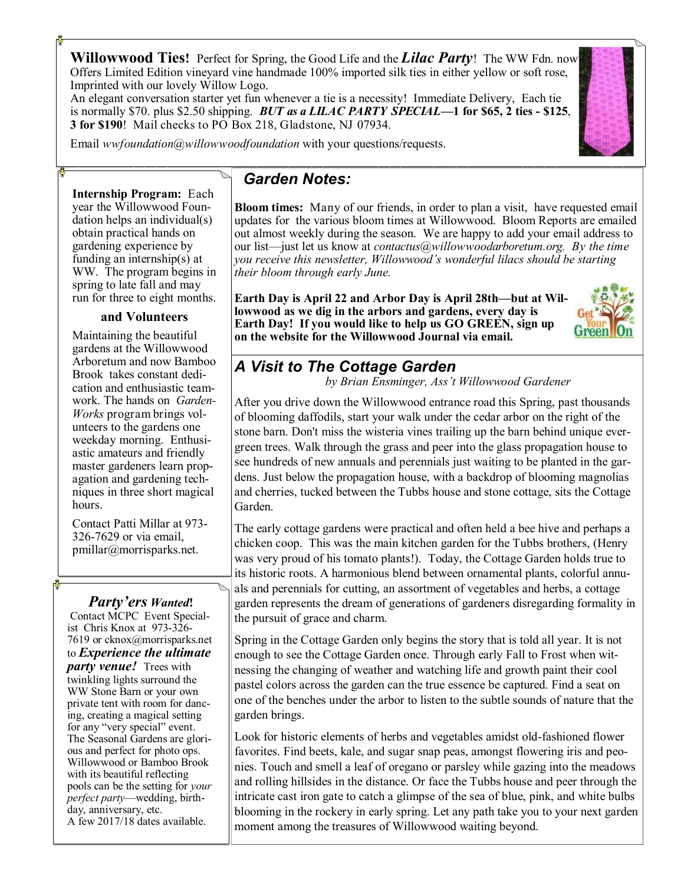**Willowwood Ties!** Perfect for Spring, the Good Life and the *Lilac Party*! The WW Fdn. now Offers Limited Edition vineyard vine handmade 100% imported silk ties in either yellow or soft rose, Imprinted with our lovely Willow Logo.

An elegant conversation starter yet fun whenever a tie is a necessity! Immediate Delivery, Each tie is normally \$70. plus \$2.50 shipping. *BUT as a LILAC PARTY SPECIAL***—1 for \$65, 2 ties - \$125**, **3 for \$190**! Mail checks to PO Box 218, Gladstone, NJ 07934.

Email *wwfoundation@willowwoodfoundation* with your questions/requests.

**Internship Program:** Each year the Willowwood Foundation helps an individual(s) obtain practical hands on gardening experience by funding an internship(s) at WW. The program begins in spring to late fall and may run for three to eight months.

#### **and Volunteers**

Maintaining the beautiful gardens at the Willowwood Arboretum and now Bamboo Brook takes constant dedication and enthusiastic teamwork. The hands on *Garden-Works* program brings volunteers to the gardens one weekday morning. Enthusiastic amateurs and friendly master gardeners learn propagation and gardening techniques in three short magical hours.

Contact Patti Millar at 973- 326-7629 or via email, pmillar@morrisparks.net.

#### *Party'ers Wanted***!**

Contact MCPC Event Specialist Chris Knox at 973-326- 7619 or cknox@morrisparks.net to *Experience the ultimate party venue!* Trees with twinkling lights surround the WW Stone Barn or your own private tent with room for dancing, creating a magical setting for any "very special" event. The Seasonal Gardens are glorious and perfect for photo ops. Willowwood or Bamboo Brook with its beautiful reflecting pools can be the setting for *your perfect party*—wedding, birthday, anniversary, etc. A few 2017/18 dates available.

### *Garden Notes:*

**Bloom times:** Many of our friends, in order to plan a visit, have requested email updates for the various bloom times at Willowwood. Bloom Reports are emailed out almost weekly during the season. We are happy to add your email address to our list—just let us know at *contactus@willowwoodarboretum.org. By the time you receive this newsletter, Willowwood's wonderful lilacs should be starting their bloom through early June.*

**Earth Day is April 22 and Arbor Day is April 28th—but at Willowwood as we dig in the arbors and gardens, every day is Earth Day! If you would like to help us GO GREEN, sign up on the website for the Willowwood Journal via email.** 



## *A Visit to The Cottage Garden*

 *by Brian Ensminger, Ass't Willowwood Gardener*

After you drive down the Willowwood entrance road this Spring, past thousands of blooming daffodils, start your walk under the cedar arbor on the right of the stone barn. Don't miss the wisteria vines trailing up the barn behind unique evergreen trees. Walk through the grass and peer into the glass propagation house to see hundreds of new annuals and perennials just waiting to be planted in the gardens. Just below the propagation house, with a backdrop of blooming magnolias and cherries, tucked between the Tubbs house and stone cottage, sits the Cottage Garden.

The early cottage gardens were practical and often held a bee hive and perhaps a chicken coop. This was the main kitchen garden for the Tubbs brothers, (Henry was very proud of his tomato plants!). Today, the Cottage Garden holds true to its historic roots. A harmonious blend between ornamental plants, colorful annuals and perennials for cutting, an assortment of vegetables and herbs, a cottage garden represents the dream of generations of gardeners disregarding formality in the pursuit of grace and charm.

Spring in the Cottage Garden only begins the story that is told all year. It is not enough to see the Cottage Garden once. Through early Fall to Frost when witnessing the changing of weather and watching life and growth paint their cool pastel colors across the garden can the true essence be captured. Find a seat on one of the benches under the arbor to listen to the subtle sounds of nature that the garden brings.

Look for historic elements of herbs and vegetables amidst old-fashioned flower favorites. Find beets, kale, and sugar snap peas, amongst flowering iris and peonies. Touch and smell a leaf of oregano or parsley while gazing into the meadows and rolling hillsides in the distance. Or face the Tubbs house and peer through the intricate cast iron gate to catch a glimpse of the sea of blue, pink, and white bulbs blooming in the rockery in early spring. Let any path take you to your next garden moment among the treasures of Willowwood waiting beyond.